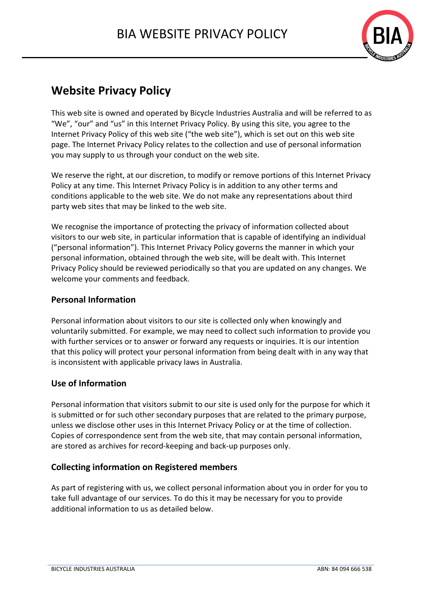

# **Website Privacy Policy**

This web site is owned and operated by Bicycle Industries Australia and will be referred to as "We", "our" and "us" in this Internet Privacy Policy. By using this site, you agree to the Internet Privacy Policy of this web site ("the web site"), which is set out on this web site page. The Internet Privacy Policy relates to the collection and use of personal information you may supply to us through your conduct on the web site.

We reserve the right, at our discretion, to modify or remove portions of this Internet Privacy Policy at any time. This Internet Privacy Policy is in addition to any other terms and conditions applicable to the web site. We do not make any representations about third party web sites that may be linked to the web site.

We recognise the importance of protecting the privacy of information collected about visitors to our web site, in particular information that is capable of identifying an individual ("personal information"). This Internet Privacy Policy governs the manner in which your personal information, obtained through the web site, will be dealt with. This Internet Privacy Policy should be reviewed periodically so that you are updated on any changes. We welcome your comments and feedback.

### **Personal Information**

Personal information about visitors to our site is collected only when knowingly and voluntarily submitted. For example, we may need to collect such information to provide you with further services or to answer or forward any requests or inquiries. It is our intention that this policy will protect your personal information from being dealt with in any way that is inconsistent with applicable privacy laws in Australia.

### **Use of Information**

Personal information that visitors submit to our site is used only for the purpose for which it is submitted or for such other secondary purposes that are related to the primary purpose, unless we disclose other uses in this Internet Privacy Policy or at the time of collection. Copies of correspondence sent from the web site, that may contain personal information, are stored as archives for record-keeping and back-up purposes only.

# **Collecting information on Registered members**

As part of registering with us, we collect personal information about you in order for you to take full advantage of our services. To do this it may be necessary for you to provide additional information to us as detailed below.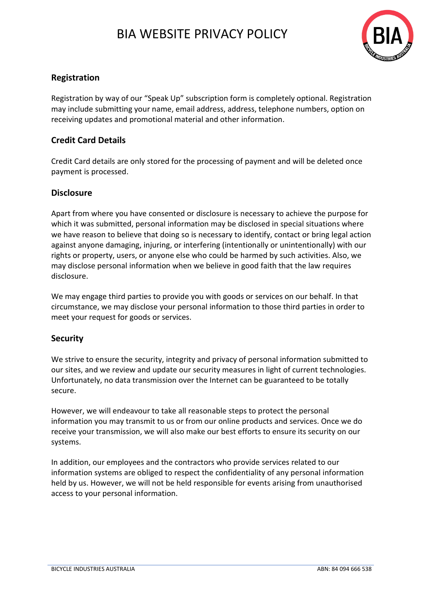# BIA WEBSITE PRIVACY POLICY



## **Registration**

Registration by way of our "Speak Up" subscription form is completely optional. Registration may include submitting your name, email address, address, telephone numbers, option on receiving updates and promotional material and other information.

### **Credit Card Details**

Credit Card details are only stored for the processing of payment and will be deleted once payment is processed.

### **Disclosure**

Apart from where you have consented or disclosure is necessary to achieve the purpose for which it was submitted, personal information may be disclosed in special situations where we have reason to believe that doing so is necessary to identify, contact or bring legal action against anyone damaging, injuring, or interfering (intentionally or unintentionally) with our rights or property, users, or anyone else who could be harmed by such activities. Also, we may disclose personal information when we believe in good faith that the law requires disclosure.

We may engage third parties to provide you with goods or services on our behalf. In that circumstance, we may disclose your personal information to those third parties in order to meet your request for goods or services.

#### **Security**

We strive to ensure the security, integrity and privacy of personal information submitted to our sites, and we review and update our security measures in light of current technologies. Unfortunately, no data transmission over the Internet can be guaranteed to be totally secure.

However, we will endeavour to take all reasonable steps to protect the personal information you may transmit to us or from our online products and services. Once we do receive your transmission, we will also make our best efforts to ensure its security on our systems.

In addition, our employees and the contractors who provide services related to our information systems are obliged to respect the confidentiality of any personal information held by us. However, we will not be held responsible for events arising from unauthorised access to your personal information.